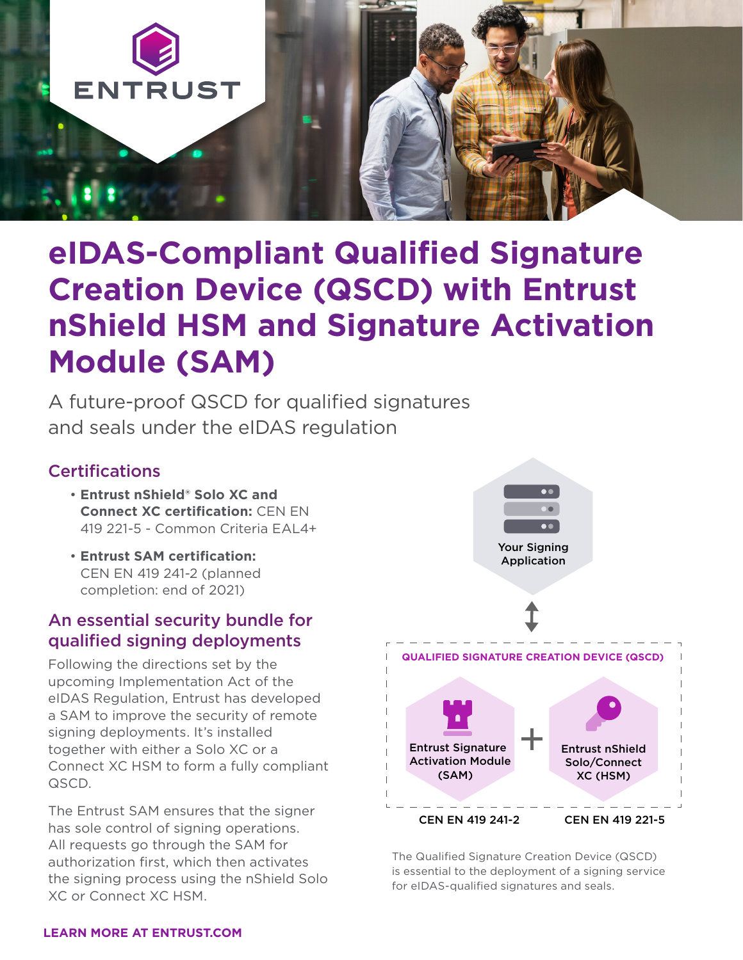

# **eIDAS-Compliant Qualified Signature Creation Device (QSCD) with Entrust nShield HSM and Signature Activation Module (SAM)**

A future-proof QSCD for qualified signatures and seals under the eIDAS regulation

#### Certifications

- **Entrust nShield® Solo XC and Connect XC certification:** CEN EN 419 221-5 - Common Criteria EAL4+
- **Entrust SAM certification:**  CEN EN 419 241-2 (planned completion: end of 2021)

#### An essential security bundle for qualified signing deployments

Following the directions set by the upcoming Implementation Act of the eIDAS Regulation, Entrust has developed a SAM to improve the security of remote signing deployments. It's installed together with either a Solo XC or a Connect XC HSM to form a fully compliant QSCD.

The Entrust SAM ensures that the signer has sole control of signing operations. All requests go through the SAM for authorization first, which then activates the signing process using the nShield Solo XC or Connect XC HSM.



The Qualified Signature Creation Device (QSCD) is essential to the deployment of a signing service for eIDAS-qualified signatures and seals.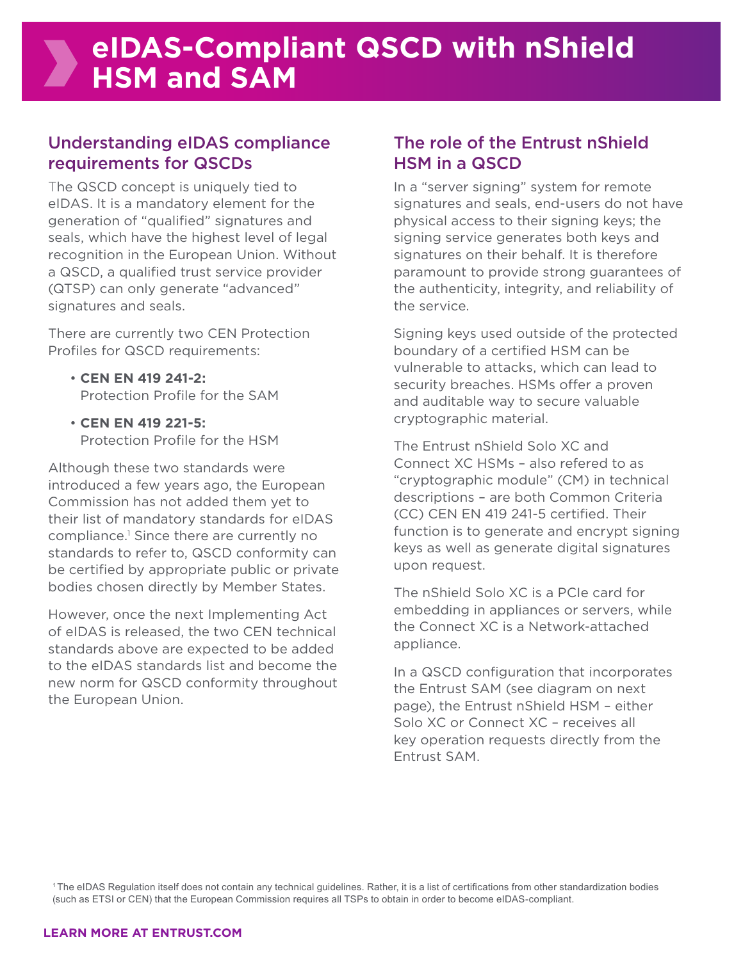### Understanding eIDAS compliance requirements for QSCDs

The QSCD concept is uniquely tied to eIDAS. It is a mandatory element for the generation of "qualified" signatures and seals, which have the highest level of legal recognition in the European Union. Without a QSCD, a qualified trust service provider (QTSP) can only generate "advanced" signatures and seals.

There are currently two CEN Protection Profiles for QSCD requirements:

- **CEN EN 419 241-2:** Protection Profile for the SAM
- **CEN EN 419 221-5:** Protection Profile for the HSM

Although these two standards were introduced a few years ago, the European Commission has not added them yet to their list of mandatory standards for eIDAS compliance.1 Since there are currently no standards to refer to, QSCD conformity can be certified by appropriate public or private bodies chosen directly by Member States.

However, once the next Implementing Act of eIDAS is released, the two CEN technical standards above are expected to be added to the eIDAS standards list and become the new norm for QSCD conformity throughout the European Union.

### The role of the Entrust nShield HSM in a QSCD

In a "server signing" system for remote signatures and seals, end-users do not have physical access to their signing keys; the signing service generates both keys and signatures on their behalf. It is therefore paramount to provide strong guarantees of the authenticity, integrity, and reliability of the service.

Signing keys used outside of the protected boundary of a certified HSM can be vulnerable to attacks, which can lead to security breaches. HSMs offer a proven and auditable way to secure valuable cryptographic material.

The Entrust nShield Solo XC and Connect XC HSMs – also refered to as "cryptographic module" (CM) in technical descriptions – are both Common Criteria (CC) CEN EN 419 241-5 certified. Their function is to generate and encrypt signing keys as well as generate digital signatures upon request.

The nShield Solo XC is a PCIe card for embedding in appliances or servers, while the Connect XC is a Network-attached appliance.

In a QSCD configuration that incorporates the Entrust SAM (see diagram on next page), the Entrust nShield HSM – either Solo XC or Connect XC – receives all key operation requests directly from the Entrust SAM.

<sup>1</sup>The eIDAS Regulation itself does not contain any technical guidelines. Rather, it is a list of certifications from other standardization bodies (such as ETSI or CEN) that the European Commission requires all TSPs to obtain in order to become eIDAS-compliant.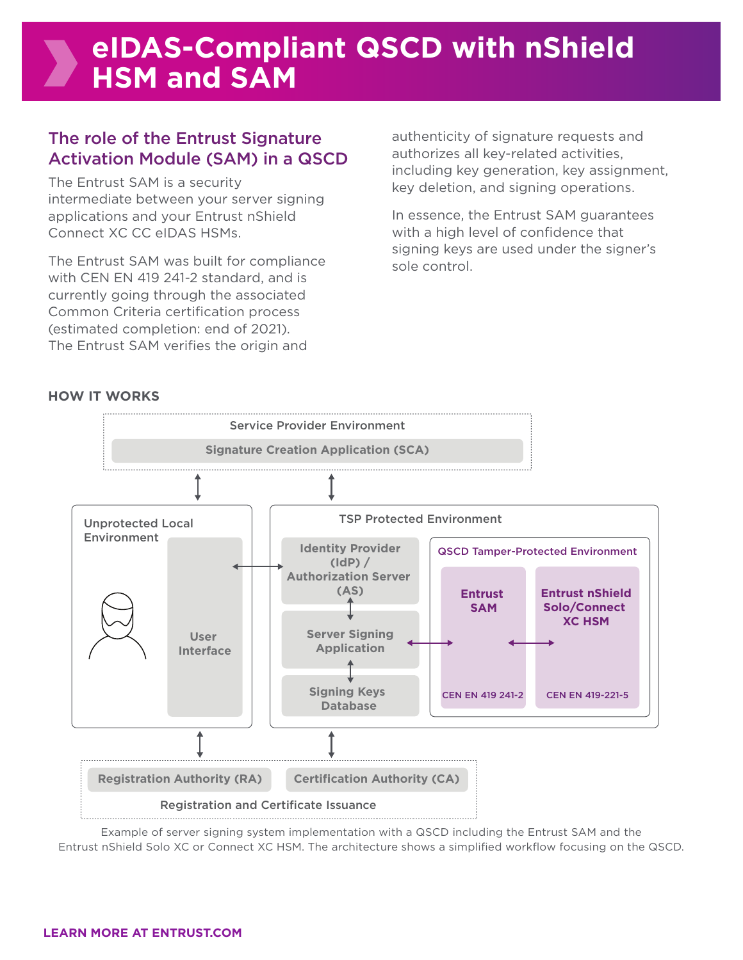## **eIDAS-Compliant QSCD with nShield HSM and SAM**

### The role of the Entrust Signature Activation Module (SAM) in a QSCD

The Entrust SAM is a security intermediate between your server signing applications and your Entrust nShield Connect XC CC eIDAS HSMs.

The Entrust SAM was built for compliance with CEN EN 419 241-2 standard, and is currently going through the associated Common Criteria certification process (estimated completion: end of 2021). The Entrust SAM verifies the origin and

authenticity of signature requests and authorizes all key-related activities, including key generation, key assignment, key deletion, and signing operations.

In essence, the Entrust SAM guarantees with a high level of confidence that signing keys are used under the signer's sole control.

#### **HOW IT WORKS**



Example of server signing system implementation with a QSCD including the Entrust SAM and the Entrust nShield Solo XC or Connect XC HSM. The architecture shows a simplified workflow focusing on the QSCD.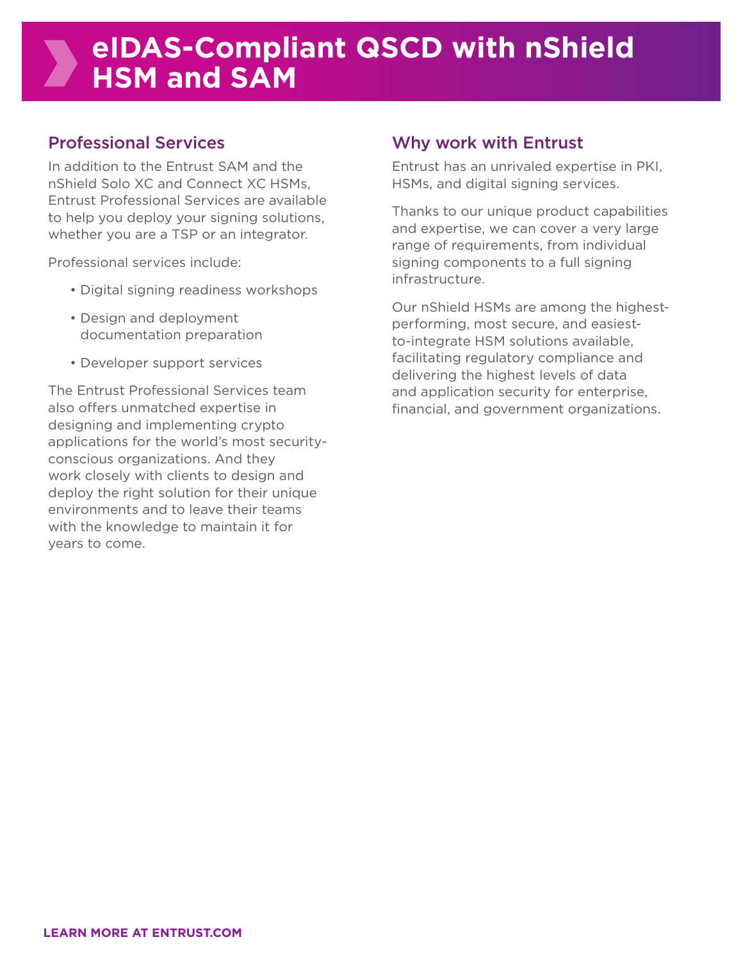## **eIDAS-Compliant QSCD with nShield HSM and SAM**

#### Professional Services

In addition to the Entrust SAM and the nShield Solo XC and Connect XC HSMs, Entrust Professional Services are available to help you deploy your signing solutions, whether you are a TSP or an integrator.

Professional services include:

- Digital signing readiness workshops
- Design and deployment documentation preparation
- Developer support services

The Entrust Professional Services team also offers unmatched expertise in designing and implementing crypto applications for the world's most securityconscious organizations. And they work closely with clients to design and deploy the right solution for their unique environments and to leave their teams with the knowledge to maintain it for years to come.

#### Why work with Entrust

Entrust has an unrivaled expertise in PKI, HSMs, and digital signing services.

Thanks to our unique product capabilities and expertise, we can cover a very large range of requirements, from individual signing components to a full signing infrastructure.

Our nShield HSMs are among the highestperforming, most secure, and easiestto-integrate HSM solutions available, facilitating regulatory compliance and delivering the highest levels of data and application security for enterprise, financial, and government organizations.